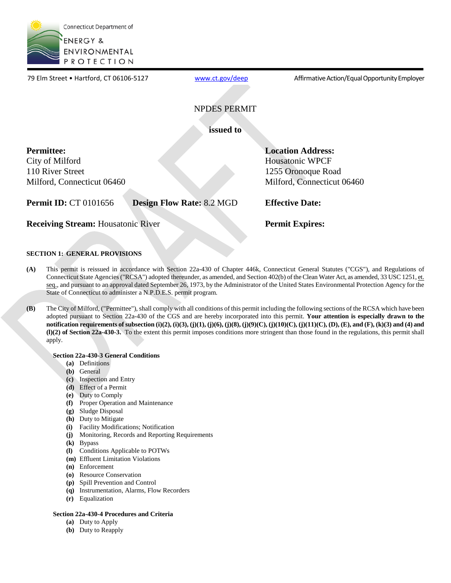

www.ct.gov/deep

79 Elm Street • Hartford, CT 06106-5127 [www.ct.gov/deep](http://www.ct.gov/deep) Affirmative Action/Equal Opportunity Employer

## NPDES PERMIT

**issued to** 

## **Permittee:**

City of Milford 110 River Street Milford, Connecticut 06460

**Permit ID:** CT 0101656 **Design Flow Rate:** 8.2 MGD **Effective Date:** 

**Receiving Stream:** Housatonic River **Permit Expires: Permit Expires:** 

**Location Address:**  Housatonic WPCF 1255 Oronoque Road

Milford, Connecticut 06460

## **SECTION 1: GENERAL PROVISIONS**

- **(A)** This permit is reissued in accordance with Section 22a-430 of Chapter 446k, Connecticut General Statutes ("CGS"), and Regulations of Connecticut State Agencies ("RCSA") adopted thereunder, as amended, and Section 402(b) of the Clean Water Act, as amended, 33 USC 1251, et. seq., and pursuant to an approval dated September 26, 1973, by the Administrator of the United States Environmental Protection Agency for the State of Connecticut to administer a N.P.D.E.S. permit program.
- **(B)** The City of Milford, ("Permittee"), shall comply with all conditions of this permit including the following sections of the RCSA which have been adopted pursuant to Section 22a-430 of the CGS and are hereby incorporated into this permit. **Your attention is especially drawn to the notification requirements of subsection (i)(2), (i)(3), (j)(1), (j)(6), (j)(8), (j)(9)(C), (j)(10)(C), (j)(11)(C), (D), (E), and (F), (k)(3) and (4) and (l)(2) of Section 22a-430-3.** To the extent this permit imposes conditions more stringent than those found in the regulations, this permit shall apply.

## **Section 22a-430-3 General Conditions**

- **(a)** Definitions
- **(b)** General
- **(c)** Inspection and Entry
- **(d)** Effect of a Permit
- **(e)** Duty to Comply
- **(f)** Proper Operation and Maintenance
- **(g)** Sludge Disposal
- **(h)** Duty to Mitigate
- **(i)** Facility Modifications; Notification
- **(j)** Monitoring, Records and Reporting Requirements
- **(k)** Bypass
- **(l)** Conditions Applicable to POTWs
- **(m)** Effluent Limitation Violations
- **(n)** Enforcement
- **(o)** Resource Conservation
- **(p)** Spill Prevention and Control
- **(q)** Instrumentation, Alarms, Flow Recorders
- **(r)** Equalization

## **Section 22a-430-4 Procedures and Criteria**

- **(a)** Duty to Apply
- **(b)** Duty to Reapply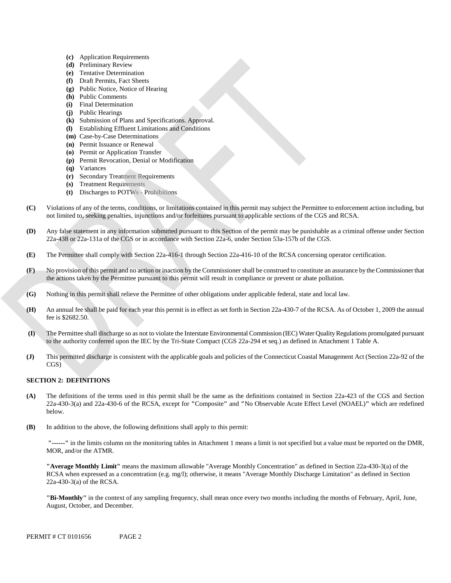- **(c)** Application Requirements
- **(d)** Preliminary Review
- **(e)** Tentative Determination
- **(f)** Draft Permits, Fact Sheets
- **(g)** Public Notice, Notice of Hearing
- **(h)** Public Comments
- **(i)** Final Determination
- **(j)** Public Hearings
- **(k)** Submission of Plans and Specifications. Approval.
- **(l)** Establishing Effluent Limitations and Conditions
- **(m)** Case-by-Case Determinations
- **(n)** Permit Issuance or Renewal
- **(o)** Permit or Application Transfer
- **(p)** Permit Revocation, Denial or Modification
- **(q)** Variances
- **(r)** Secondary Treatment Requirements
- **(s)** Treatment Requirements
- **(t)** Discharges to POTWs Prohibitions
- Violations of any of the terms, conditions, or limitations contained in this permit may subject the Permittee to enforcement action including, but **(C)** not limited to, seeking penalties, injunctions and/or forfeitures pursuant to applicable sections of the CGS and RCSA.
- **(D)** Any false statement in any information submitted pursuant to this Section of the permit may be punishable as a criminal offense under Section 22a-438 or 22a-131a of the CGS or in accordance with Section 22a-6, under Section 53a-157b of the CGS.
- **(E)** The Permittee shall comply with Section 22a-416-1 through Section 22a-416-10 of the RCSA concerning operator certification.
- No provision of this permit and no action or inaction by the Commissioner shall be construed to constitute an assurance by the Commissioner that **(F)** the actions taken by the Permittee pursuant to this permit will result in compliance or prevent or abate pollution.
- **(G)** Nothing in this permit shall relieve the Permittee of other obligations under applicable federal, state and local law.
- An annual fee shall be paid for each year this permit is in effect as set forth in Section 22a-430-7 of the RCSA. As of October 1, 2009 the annual **(H)** fee is \$2682.50.
- The Permittee shall discharge so as not to violate the Interstate Environmental Commission (IEC) Water Quality Regulations promulgated pursuant **(I)** to the authority conferred upon the IEC by the Tri-State Compact (CGS 22a-294 et seq.) as defined in Attachment 1 Table A.
- This permitted discharge is consistent with the applicable goals and policies of the Connecticut Coastal Management Act (Section 22a-92 of the **(J)** CGS)

## **SECTION 2: DEFINITIONS**

- **(A)** The definitions of the terms used in this permit shall be the same as the definitions contained in Section 22a-423 of the CGS and Section 22a-430-3(a) and 22a-430-6 of the RCSA, except for **"**Composite**"** and **"**No Observable Acute Effect Level (NOAEL)**"** which are redefined below.
- **(B)** In addition to the above, the following definitions shall apply to this permit:

 **"------"** in the limits column on the monitoring tables in Attachment 1 means a limit is not specified but a value must be reported on the DMR, MOR, and/or the ATMR.

**"Average Monthly Limit"** means the maximum allowable "Average Monthly Concentration" as defined in Section 22a-430-3(a) of the RCSA when expressed as a concentration (e.g. mg/l); otherwise, it means "Average Monthly Discharge Limitation" as defined in Section 22a-430-3(a) of the RCSA.

 **"Bi-Monthly"** in the context of any sampling frequency, shall mean once every two months including the months of February, April, June, August, October, and December.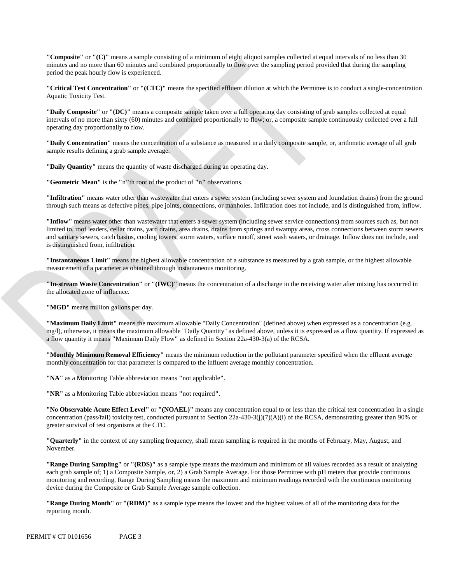**"Composite"** or **"(C)"** means a sample consisting of a minimum of eight aliquot samples collected at equal intervals of no less than 30 minutes and no more than 60 minutes and combined proportionally to flow over the sampling period provided that during the sampling period the peak hourly flow is experienced.

**"Critical Test Concentration"** or **"(CTC)"** means the specified effluent dilution at which the Permittee is to conduct a single-concentration Aquatic Toxicity Test.

**"Daily Composite"** or **"(DC)"** means a composite sample taken over a full operating day consisting of grab samples collected at equal intervals of no more than sixty (60) minutes and combined proportionally to flow; or, a composite sample continuously collected over a full operating day proportionally to flow.

**"Daily Concentration"** means the concentration of a substance as measured in a daily composite sample, or, arithmetic average of all grab sample results defining a grab sample average.

**"Daily Quantity"** means the quantity of waste discharged during an operating day.

**"Geometric Mean"** is the **"**n**"**th root of the product of **"**n**"** observations.

**"Infiltration"** means water other than wastewater that enters a sewer system (including sewer system and foundation drains) from the ground through such means as defective pipes, pipe joints, connections, or manholes. Infiltration does not include, and is distinguished from, inflow.

**"Inflow"** means water other than wastewater that enters a sewer system (including sewer service connections) from sources such as, but not limited to, roof leaders, cellar drains, yard drains, area drains, drains from springs and swampy areas, cross connections between storm sewers and sanitary sewers, catch basins, cooling towers, storm waters, surface runoff, street wash waters, or drainage. Inflow does not include, and is distinguished from, infiltration.

**"Instantaneous Limit"** means the highest allowable concentration of a substance as measured by a grab sample, or the highest allowable measurement of a parameter as obtained through instantaneous monitoring.

**"In-stream Waste Concentration"** or **"(IWC)"** means the concentration of a discharge in the receiving water after mixing has occurred in the allocated zone of influence.

"**MGD**" means million gallons per day.

**"Maximum Daily Limit"** means the maximum allowable "Daily Concentration" (defined above) when expressed as a concentration (e.g. mg/l), otherwise, it means the maximum allowable "Daily Quantity" as defined above, unless it is expressed as a flow quantity. If expressed as a flow quantity it means **"**Maximum Daily Flow**"** as defined in Section 22a-430-3(a) of the RCSA.

**"Monthly Minimum Removal Efficiency"** means the minimum reduction in the pollutant parameter specified when the effluent average monthly concentration for that parameter is compared to the influent average monthly concentration.

**"NA"** as a Monitoring Table abbreviation means **"**not applicable**"**.

**"NR"** as a Monitoring Table abbreviation means **"**not required**"**.

**"No Observable Acute Effect Level"** or **"(NOAEL)"** means any concentration equal to or less than the critical test concentration in a single concentration (pass/fail) toxicity test, conducted pursuant to Section 22a-430-3(j)(7)(A)(i) of the RCSA, demonstrating greater than 90% or greater survival of test organisms at the CTC.

**"Quarterly"** in the context of any sampling frequency, shall mean sampling is required in the months of February, May, August, and November.

**"Range During Sampling"** or **"(RDS)"** as a sample type means the maximum and minimum of all values recorded as a result of analyzing each grab sample of; 1) a Composite Sample, or, 2) a Grab Sample Average. For those Permittee with pH meters that provide continuous monitoring and recording, Range During Sampling means the maximum and minimum readings recorded with the continuous monitoring device during the Composite or Grab Sample Average sample collection.

**"Range During Month"** or **"(RDM)"** as a sample type means the lowest and the highest values of all of the monitoring data for the reporting month.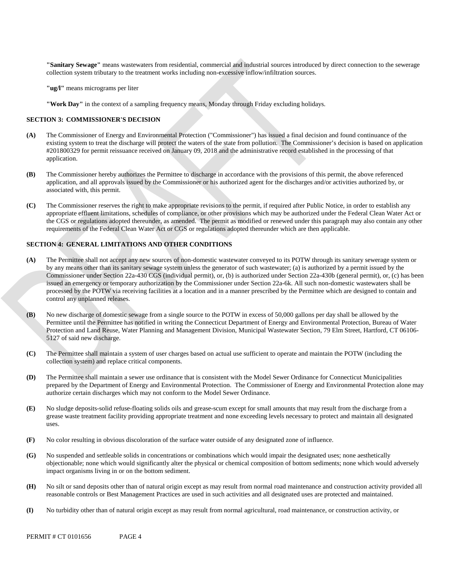**"Sanitary Sewage"** means wastewaters from residential, commercial and industrial sources introduced by direct connection to the sewerage collection system tributary to the treatment works including non-excessive inflow/infiltration sources.

**"ug/l"** means micrograms per liter

**"Work Day"** in the context of a sampling frequency means, Monday through Friday excluding holidays.

#### **SECTION 3: COMMISSIONER'S DECISION**

- **(A)** The Commissioner of Energy and Environmental Protection ("Commissioner") has issued a final decision and found continuance of the existing system to treat the discharge will protect the waters of the state from pollution. The Commissioner's decision is based on application #201800329 for permit reissuance received on January 09, 2018 and the administrative record established in the processing of that application.
- **(B)** The Commissioner hereby authorizes the Permittee to discharge in accordance with the provisions of this permit, the above referenced application, and all approvals issued by the Commissioner or his authorized agent for the discharges and/or activities authorized by, or associated with, this permit.
- **(C)** The Commissioner reserves the right to make appropriate revisions to the permit, if required after Public Notice, in order to establish any appropriate effluent limitations, schedules of compliance, or other provisions which may be authorized under the Federal Clean Water Act or the CGS or regulations adopted thereunder, as amended. The permit as modified or renewed under this paragraph may also contain any other requirements of the Federal Clean Water Act or CGS or regulations adopted thereunder which are then applicable.

## **SECTION 4: GENERAL LIMITATIONS AND OTHER CONDITIONS**

- **(A)** The Permittee shall not accept any new sources of non-domestic wastewater conveyed to its POTW through its sanitary sewerage system or by any means other than its sanitary sewage system unless the generator of such wastewater; (a) is authorized by a permit issued by the Commissioner under Section 22a-430 CGS (individual permit), or, (b) is authorized under Section 22a-430b (general permit), or, (c) has been issued an emergency or temporary authorization by the Commissioner under Section 22a-6k. All such non-domestic wastewaters shall be processed by the POTW via receiving facilities at a location and in a manner prescribed by the Permittee which are designed to contain and control any unplanned releases.
- **(B)** No new discharge of domestic sewage from a single source to the POTW in excess of 50,000 gallons per day shall be allowed by the Permittee until the Permittee has notified in writing the Connecticut Department of Energy and Environmental Protection, Bureau of Water Protection and Land Reuse, Water Planning and Management Division, Municipal Wastewater Section, 79 Elm Street, Hartford, CT 06106- 5127 of said new discharge.
- **(C)** The Permittee shall maintain a system of user charges based on actual use sufficient to operate and maintain the POTW (including the collection system) and replace critical components.
- **(D)** The Permittee shall maintain a sewer use ordinance that is consistent with the Model Sewer Ordinance for Connecticut Municipalities prepared by the Department of Energy and Environmental Protection. The Commissioner of Energy and Environmental Protection alone may authorize certain discharges which may not conform to the Model Sewer Ordinance.
- **(E)** No sludge deposits-solid refuse-floating solids oils and grease-scum except for small amounts that may result from the discharge from a grease waste treatment facility providing appropriate treatment and none exceeding levels necessary to protect and maintain all designated uses.
- **(F)** No color resulting in obvious discoloration of the surface water outside of any designated zone of influence.
- **(G)** No suspended and settleable solids in concentrations or combinations which would impair the designated uses; none aesthetically objectionable; none which would significantly alter the physical or chemical composition of bottom sediments; none which would adversely impact organisms living in or on the bottom sediment.
- **(H)** No silt or sand deposits other than of natural origin except as may result from normal road maintenance and construction activity provided all reasonable controls or Best Management Practices are used in such activities and all designated uses are protected and maintained.
- **(I)** No turbidity other than of natural origin except as may result from normal agricultural, road maintenance, or construction activity, or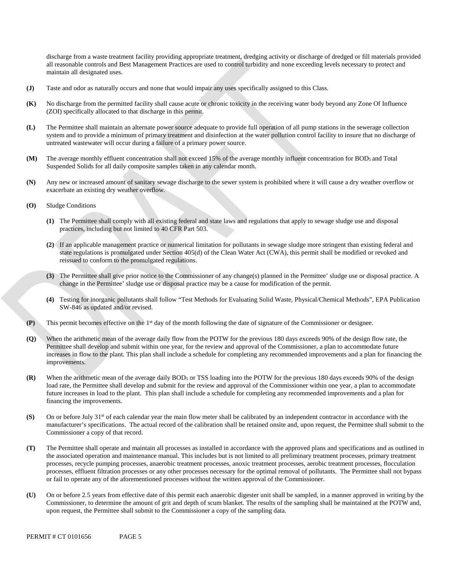discharge from a waste treatment facility providing appropriate treatment, dredging activity or discharge of dredged or fill materials provided all reasonable controls and Best Management Practices are used to control turbidity and none exceeding levels necessary to protect and maintain all designated uses.

- **(J)** Taste and odor as naturally occurs and none that would impair any uses specifically assigned to this Class.
- **(K)** No discharge from the permitted facility shall cause acute or chronic toxicity in the receiving water body beyond any Zone Of Influence (ZOI) specifically allocated to that discharge in this permit.
- **(L)** The Permittee shall maintain an alternate power source adequate to provide full operation of all pump stations in the sewerage collection system and to provide a minimum of primary treatment and disinfection at the water pollution control facility to insure that no discharge of untreated wastewater will occur during a failure of a primary power source.
- **(M)** The average monthly effluent concentration shall not exceed 15% of the average monthly influent concentration for BOD5 and Total Suspended Solids for all daily composite samples taken in any calendar month.
- **(N)** Any new or increased amount of sanitary sewage discharge to the sewer system is prohibited where it will cause a dry weather overflow or exacerbate an existing dry weather overflow.
- **(O)** Sludge Conditions
	- **(1)** The Permittee shall comply with all existing federal and state laws and regulations that apply to sewage sludge use and disposal practices, including but not limited to 40 CFR Part 503.
	- **(2)** If an applicable management practice or numerical limitation for pollutants in sewage sludge more stringent than existing federal and state regulations is promulgated under Section 405(d) of the Clean Water Act (CWA), this permit shall be modified or revoked and reissued to conform to the promulgated regulations.
	- **(3)** The Permittee shall give prior notice to the Commissioner of any change(s) planned in the Permittee' sludge use or disposal practice. A change in the Permittee' sludge use or disposal practice may be a cause for modification of the permit.
	- **(4)** Testing for inorganic pollutants shall follow "Test Methods for Evaluating Solid Waste, Physical/Chemical Methods", EPA Publication SW-846 as updated and/or revised.
- **(P)** This permit becomes effective on the 1st day of the month following the date of signature of the Commissioner or designee.
- **(Q)** When the arithmetic mean of the average daily flow from the POTW for the previous 180 days exceeds 90% of the design flow rate, the Permittee shall develop and submit within one year, for the review and approval of the Commissioner, a plan to accommodate future increases in flow to the plant. This plan shall include a schedule for completing any recommended improvements and a plan for financing the improvements.
- **(R)** When the arithmetic mean of the average daily BOD5 or TSS loading into the POTW for the previous 180 days exceeds 90% of the design load rate, the Permittee shall develop and submit for the review and approval of the Commissioner within one year, a plan to accommodate future increases in load to the plant. This plan shall include a schedule for completing any recommended improvements and a plan for financing the improvements.
- (S) On or before July 31<sup>st</sup> of each calendar year the main flow meter shall be calibrated by an independent contractor in accordance with the manufacturer's specifications. The actual record of the calibration shall be retained onsite and, upon request, the Permittee shall submit to the Commissioner a copy of that record.
- **(T)** The Permittee shall operate and maintain all processes as installed in accordance with the approved plans and specifications and as outlined in the associated operation and maintenance manual. This includes but is not limited to all preliminary treatment processes, primary treatment processes, recycle pumping processes, anaerobic treatment processes, anoxic treatment processes, aerobic treatment processes, flocculation processes, effluent filtration processes or any other processes necessary for the optimal removal of pollutants. The Permittee shall not bypass or fail to operate any of the aforementioned processes without the written approval of the Commissioner.
- upon request, the Permittee shall submit to the Commissioner a copy of the sampling data. **(U)** On or before 2.5 years from effective date of this permit each anaerobic digester unit shall be sampled, in a manner approved in writing by the Commissioner, to determine the amount of grit and depth of scum blanket. The results of the sampling shall be maintained at the POTW and,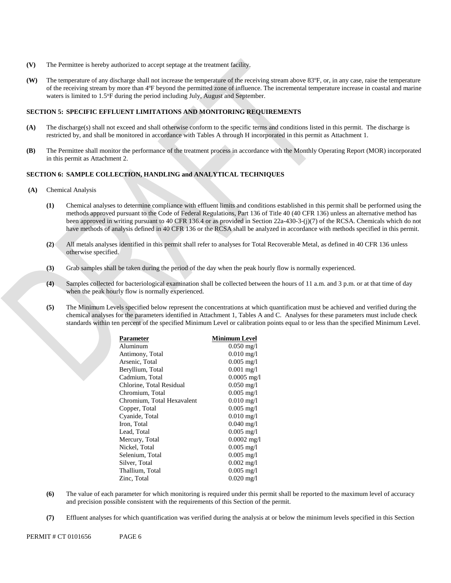- **(V)**  The Permittee is hereby authorized to accept septage at the treatment facility.
- **(W)** The temperature of any discharge shall not increase the temperature of the receiving stream above 83ºF, or, in any case, raise the temperature of the receiving stream by more than 4ºF beyond the permitted zone of influence. The incremental temperature increase in coastal and marine waters is limited to 1.5°F during the period including July, August and September.

## **SECTION 5: SPECIFIC EFFLUENT LIMITATIONS AND MONITORING REQUIREMENTS**

- restricted by, and shall be monitored in accordance with Tables A through H incorporated in this permit as Attachment 1. **(A)** The discharge(s) shall not exceed and shall otherwise conform to the specific terms and conditions listed in this permit. The discharge is
- in this permit as Attachment 2. **(B)** The Permittee shall monitor the performance of the treatment process in accordance with the Monthly Operating Report (MOR) incorporated

#### **SECTION 6: SAMPLE COLLECTION, HANDLING and ANALYTICAL TECHNIQUES**

- **(A)** Chemical Analysis
	- **(1)** Chemical analyses to determine compliance with effluent limits and conditions established in this permit shall be performed using the methods approved pursuant to the Code of Federal Regulations, Part 136 of Title 40 (40 CFR 136) unless an alternative method has been approved in writing pursuant to 40 CFR 136.4 or as provided in Section 22a-430-3-(j)(7) of the RCSA. Chemicals which do not have methods of analysis defined in 40 CFR 136 or the RCSA shall be analyzed in accordance with methods specified in this permit.
	- **(2)** All metals analyses identified in this permit shall refer to analyses for Total Recoverable Metal, as defined in 40 CFR 136 unless otherwise specified.
	- **(3)** Grab samples shall be taken during the period of the day when the peak hourly flow is normally experienced.
	- **(4)** Samples collected for bacteriological examination shall be collected between the hours of 11 a.m. and 3 p.m. or at that time of day when the peak hourly flow is normally experienced.
	- standards within ten percent of the specified Minimum Level or calibration points equal to or less than the specified Minimum Level. **(5)** The Minimum Levels specified below represent the concentrations at which quantification must be achieved and verified during the chemical analyses for the parameters identified in Attachment 1, Tables A and C. Analyses for these parameters must include check

| Parameter                  | <b>Minimum Level</b> |
|----------------------------|----------------------|
| Aluminum                   | $0.050 \text{ mg}/1$ |
| Antimony, Total            | $0.010$ mg/l         |
| Arsenic, Total             | $0.005$ mg/l         |
| Beryllium, Total           | $0.001$ mg/l         |
| Cadmium, Total             | $0.0005$ mg/l        |
| Chlorine, Total Residual   | $0.050$ mg/l         |
| Chromium, Total            | $0.005$ mg/l         |
| Chromium, Total Hexavalent | $0.010$ mg/l         |
| Copper, Total              | $0.005$ mg/l         |
| Cyanide, Total             | $0.010$ mg/l         |
| Iron, Total                | $0.040$ mg/l         |
| Lead, Total                | $0.005$ mg/l         |
| Mercury, Total             | $0.0002$ mg/l        |
| Nickel, Total              | $0.005$ mg/l         |
| Selenium, Total            | $0.005$ mg/l         |
| Silver, Total              | $0.002$ mg/l         |
| Thallium, Total            | $0.005$ mg/l         |
| Zinc, Total                | $0.020$ mg/l         |
|                            |                      |

- **(6)** The value of each parameter for which monitoring is required under this permit shall be reported to the maximum level of accuracy and precision possible consistent with the requirements of this Section of the permit.
- **(7)** Effluent analyses for which quantification was verified during the analysis at or below the minimum levels specified in this Section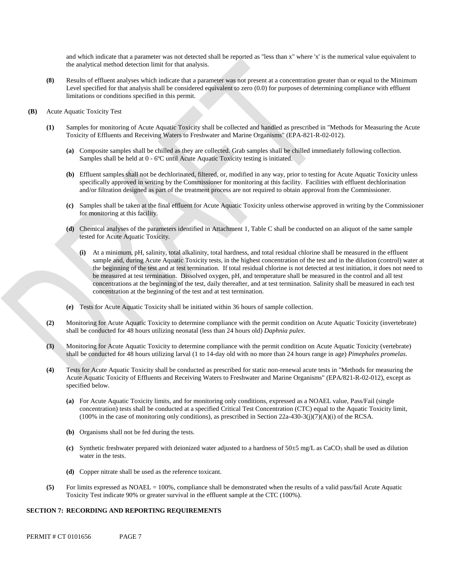and which indicate that a parameter was not detected shall be reported as "less than x" where 'x' is the numerical value equivalent to the analytical method detection limit for that analysis.

- **(8)** Results of effluent analyses which indicate that a parameter was not present at a concentration greater than or equal to the Minimum Level specified for that analysis shall be considered equivalent to zero (0.0) for purposes of determining compliance with effluent limitations or conditions specified in this permit.
- **(B)** Acute Aquatic Toxicity Test
	- **(1)** Samples for monitoring of Acute Aquatic Toxicity shall be collected and handled as prescribed in "Methods for Measuring the Acute Toxicity of Effluents and Receiving Waters to Freshwater and Marine Organisms" (EPA-821-R-02-012).
		- **(a)** Composite samples shall be chilled as they are collected. Grab samples shall be chilled immediately following collection. Samples shall be held at 0 - 6ºC until Acute Aquatic Toxicity testing is initiated.
		- **(b)** Effluent samples shall not be dechlorinated, filtered, or, modified in any way, prior to testing for Acute Aquatic Toxicity unless specifically approved in writing by the Commissioner for monitoring at this facility. Facilities with effluent dechlorination and/or filtration designed as part of the treatment process are not required to obtain approval from the Commissioner.
		- **(c)** Samples shall be taken at the final effluent for Acute Aquatic Toxicity unless otherwise approved in writing by the Commissioner for monitoring at this facility.
		- **(d)** Chemical analyses of the parameters identified in Attachment 1, Table C shall be conducted on an aliquot of the same sample tested for Acute Aquatic Toxicity.
			- **(i)** At a minimum, pH, salinity, total alkalinity, total hardness, and total residual chlorine shall be measured in the effluent sample and, during Acute Aquatic Toxicity tests, in the highest concentration of the test and in the dilution (control) water at the beginning of the test and at test termination. If total residual chlorine is not detected at test initiation, it does not need to be measured at test termination. Dissolved oxygen, pH, and temperature shall be measured in the control and all test concentrations at the beginning of the test, daily thereafter, and at test termination. Salinity shall be measured in each test concentration at the beginning of the test and at test termination.
		- **(e)** Tests for Acute Aquatic Toxicity shall be initiated within 36 hours of sample collection.
	- **(2)** Monitoring for Acute Aquatic Toxicity to determine compliance with the permit condition on Acute Aquatic Toxicity (invertebrate) shall be conducted for 48 hours utilizing neonatal (less than 24 hours old) *Daphnia pulex*.
	- **(3)** Monitoring for Acute Aquatic Toxicity to determine compliance with the permit condition on Acute Aquatic Toxicity (vertebrate) shall be conducted for 48 hours utilizing larval (1 to 14-day old with no more than 24 hours range in age) *Pimephales promelas*.
	- **(4)** Tests for Acute Aquatic Toxicity shall be conducted as prescribed for static non-renewal acute tests in "Methods for measuring the Acute Aquatic Toxicity of Effluents and Receiving Waters to Freshwater and Marine Organisms" (EPA/821-R-02-012), except as specified below.
		- **(a)** For Acute Aquatic Toxicity limits, and for monitoring only conditions, expressed as a NOAEL value, Pass/Fail (single concentration) tests shall be conducted at a specified Critical Test Concentration (CTC) equal to the Aquatic Toxicity limit, (100% in the case of monitoring only conditions), as prescribed in Section  $22a-430-3(j)(7)(A)(i)$  of the RCSA.
		- **(b)** Organisms shall not be fed during the tests.
		- **(c)** Synthetic freshwater prepared with deionized water adjusted to a hardness of 50±5 mg/L as CaCO3 shall be used as dilution water in the tests.
		- **(d)** Copper nitrate shall be used as the reference toxicant.
	- **(5)** For limits expressed as NOAEL = 100%, compliance shall be demonstrated when the results of a valid pass/fail Acute Aquatic Toxicity Test indicate 90% or greater survival in the effluent sample at the CTC (100%).

### **SECTION 7: RECORDING AND REPORTING REQUIREMENTS**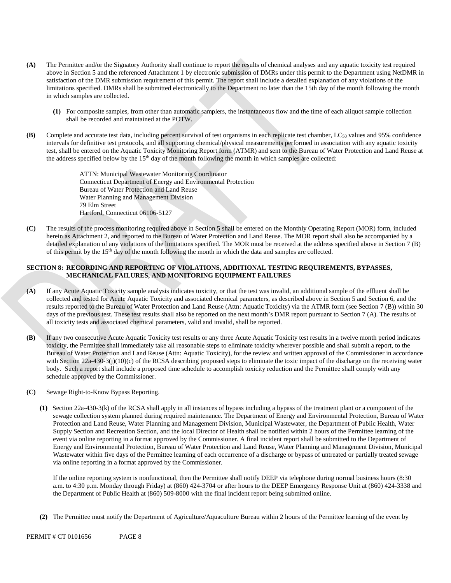- **(A)** The Permittee and/or the Signatory Authority shall continue to report the results of chemical analyses and any aquatic toxicity test required above in Section 5 and the referenced Attachment 1 by electronic submission of DMRs under this permit to the Department using NetDMR in satisfaction of the DMR submission requirement of this permit. The report shall include a detailed explanation of any violations of the limitations specified. DMRs shall be submitted electronically to the Department no later than the 15th day of the month following the month in which samples are collected.
	- **(1)** For composite samples, from other than automatic samplers, the instantaneous flow and the time of each aliquot sample collection shall be recorded and maintained at the POTW.
- **(B)** Complete and accurate test data, including percent survival of test organisms in each replicate test chamber,  $LC_{50}$  values and 95% confidence intervals for definitive test protocols, and all supporting chemical/physical measurements performed in association with any aquatic toxicity test, shall be entered on the Aquatic Toxicity Monitoring Report form (ATMR) and sent to the Bureau of Water Protection and Land Reuse at the address specified below by the 15th day of the month following the month in which samples are collected:

ATTN: Municipal Wastewater Monitoring Coordinator Connecticut Department of Energy and Environmental Protection Bureau of Water Protection and Land Reuse Water Planning and Management Division 79 Elm Street Hartford, Connecticut 06106-5127

**(C)** The results of the process monitoring required above in Section 5 shall be entered on the Monthly Operating Report (MOR) form, included herein as Attachment 2, and reported to the Bureau of Water Protection and Land Reuse. The MOR report shall also be accompanied by a detailed explanation of any violations of the limitations specified. The MOR must be received at the address specified above in Section 7 (B) of this permit by the 15th day of the month following the month in which the data and samples are collected.

## **SECTION 8: RECORDING AND REPORTING OF VIOLATIONS, ADDITIONAL TESTING REQUIREMENTS, BYPASSES, MECHANICAL FAILURES, AND MONITORING EQUIPMENT FAILURES**

- **(A)** If any Acute Aquatic Toxicity sample analysis indicates toxicity, or that the test was invalid, an additional sample of the effluent shall be collected and tested for Acute Aquatic Toxicity and associated chemical parameters, as described above in Section 5 and Section 6, and the results reported to the Bureau of Water Protection and Land Reuse (Attn: Aquatic Toxicity) via the ATMR form (see Section 7 (B)) within 30 days of the previous test. These test results shall also be reported on the next month's DMR report pursuant to Section 7 (A). The results of all toxicity tests and associated chemical parameters, valid and invalid, shall be reported.
- **(B)** If any two consecutive Acute Aquatic Toxicity test results or any three Acute Aquatic Toxicity test results in a twelve month period indicates toxicity, the Permittee shall immediately take all reasonable steps to eliminate toxicity wherever possible and shall submit a report, to the Bureau of Water Protection and Land Reuse (Attn: Aquatic Toxicity), for the review and written approval of the Commissioner in accordance with Section 22a-430-3(j)(10)(c) of the RCSA describing proposed steps to eliminate the toxic impact of the discharge on the receiving water body. Such a report shall include a proposed time schedule to accomplish toxicity reduction and the Permittee shall comply with any schedule approved by the Commissioner.
- **(C)** Sewage Right-to-Know Bypass Reporting.
	- **(1)** Section 22a-430-3(k) of the RCSA shall apply in all instances of bypass including a bypass of the treatment plant or a component of the sewage collection system planned during required maintenance. The Department of Energy and Environmental Protection, Bureau of Water Protection and Land Reuse, Water Planning and Management Division, Municipal Wastewater, the Department of Public Health, Water Supply Section and Recreation Section, and the local Director of Health shall be notified within 2 hours of the Permittee learning of the event via online reporting in a format approved by the Commissioner. A final incident report shall be submitted to the Department of Energy and Environmental Protection, Bureau of Water Protection and Land Reuse, Water Planning and Management Division, Municipal Wastewater within five days of the Permittee learning of each occurrence of a discharge or bypass of untreated or partially treated sewage via online reporting in a format approved by the Commissioner.

If the online reporting system is nonfunctional, then the Permittee shall notify DEEP via telephone during normal business hours (8:30 a.m. to 4:30 p.m. Monday through Friday) at (860) 424-3704 or after hours to the DEEP Emergency Response Unit at (860) 424-3338 and the Department of Public Health at (860) 509-8000 with the final incident report being submitted online.

**(2)** The Permittee must notify the Department of Agriculture/Aquaculture Bureau within 2 hours of the Permittee learning of the event by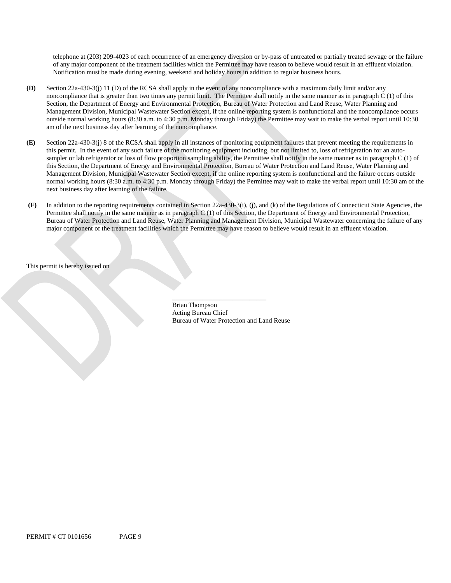telephone at (203) 209-4023 of each occurrence of an emergency diversion or by-pass of untreated or partially treated sewage or the failure of any major component of the treatment facilities which the Permittee may have reason to believe would result in an effluent violation. Notification must be made during evening, weekend and holiday hours in addition to regular business hours.

- **(D)** Section 22a-430-3(j) 11 (D) of the RCSA shall apply in the event of any noncompliance with a maximum daily limit and/or any noncompliance that is greater than two times any permit limit. The Permittee shall notify in the same manner as in paragraph C (1) of this Section, the Department of Energy and Environmental Protection, Bureau of Water Protection and Land Reuse, Water Planning and Management Division, Municipal Wastewater Section except, if the online reporting system is nonfunctional and the noncompliance occurs outside normal working hours (8:30 a.m. to 4:30 p.m. Monday through Friday) the Permittee may wait to make the verbal report until 10:30 am of the next business day after learning of the noncompliance.
- **(E)** Section 22a-430-3(j) 8 of the RCSA shall apply in all instances of monitoring equipment failures that prevent meeting the requirements in this permit. In the event of any such failure of the monitoring equipment including, but not limited to, loss of refrigeration for an autosampler or lab refrigerator or loss of flow proportion sampling ability, the Permittee shall notify in the same manner as in paragraph C (1) of this Section, the Department of Energy and Environmental Protection, Bureau of Water Protection and Land Reuse, Water Planning and Management Division, Municipal Wastewater Section except, if the online reporting system is nonfunctional and the failure occurs outside normal working hours (8:30 a.m. to 4:30 p.m. Monday through Friday) the Permittee may wait to make the verbal report until 10:30 am of the next business day after learning of the failure.
- **(F)** In addition to the reporting requirements contained in Section 22a-430-3(i), (j), and (k) of the Regulations of Connecticut State Agencies, the Permittee shall notify in the same manner as in paragraph C (1) of this Section, the Department of Energy and Environmental Protection, Bureau of Water Protection and Land Reuse, Water Planning and Management Division, Municipal Wastewater concerning the failure of any major component of the treatment facilities which the Permittee may have reason to believe would result in an effluent violation.

This permit is hereby issued on

\_\_\_\_\_\_\_\_\_\_\_\_\_\_\_\_\_\_\_\_\_\_\_\_\_\_\_\_ Brian Thompson Acting Bureau Chief Bureau of Water Protection and Land Reuse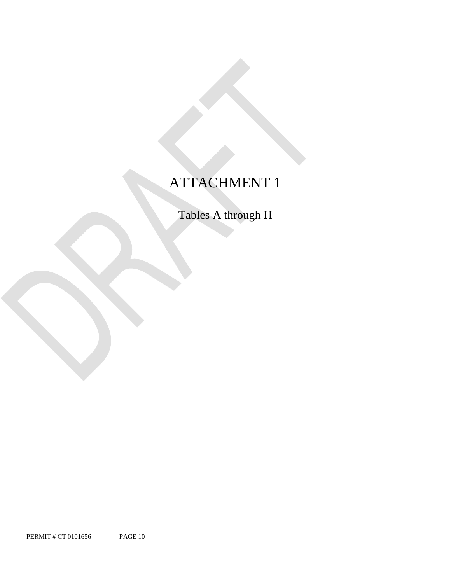# ATTACHMENT 1

Tables A through H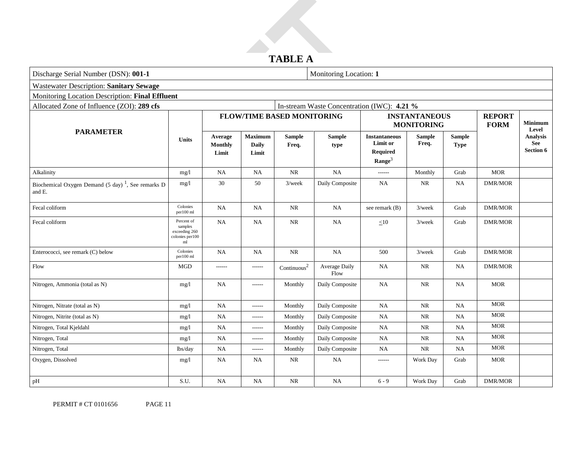# **TABLE A**

| Discharge Serial Number (DSN): 001-1                                     |                                                                  |                                    |                                         |                                   | Monitoring Location: 1                      |                                                                    |                                           |                              |                              |                                            |
|--------------------------------------------------------------------------|------------------------------------------------------------------|------------------------------------|-----------------------------------------|-----------------------------------|---------------------------------------------|--------------------------------------------------------------------|-------------------------------------------|------------------------------|------------------------------|--------------------------------------------|
| <b>Wastewater Description: Sanitary Sewage</b>                           |                                                                  |                                    |                                         |                                   |                                             |                                                                    |                                           |                              |                              |                                            |
| Monitoring Location Description: Final Effluent                          |                                                                  |                                    |                                         |                                   |                                             |                                                                    |                                           |                              |                              |                                            |
| Allocated Zone of Influence (ZOI): 289 cfs                               |                                                                  |                                    |                                         |                                   | In-stream Waste Concentration (IWC): 4.21 % |                                                                    |                                           |                              |                              |                                            |
|                                                                          |                                                                  |                                    |                                         | <b>FLOW/TIME BASED MONITORING</b> |                                             |                                                                    | <b>INSTANTANEOUS</b><br><b>MONITORING</b> |                              | <b>REPORT</b><br><b>FORM</b> | Minimum<br>Level                           |
| <b>PARAMETER</b>                                                         | <b>Units</b>                                                     | Average<br><b>Monthly</b><br>Limit | <b>Maximum</b><br><b>Daily</b><br>Limit | <b>Sample</b><br>Freq.            | <b>Sample</b><br>type                       | <b>Instantaneous</b><br>Limit or<br>Required<br>$\textbf{Range}^3$ | <b>Sample</b><br>Freq.                    | <b>Sample</b><br><b>Type</b> |                              | <b>Analysis</b><br>See<br><b>Section 6</b> |
| Alkalinity                                                               | mg/1                                                             | NA                                 | NA                                      | <b>NR</b>                         | <b>NA</b>                                   | ------                                                             | Monthly                                   | Grab                         | <b>MOR</b>                   |                                            |
| Biochemical Oxygen Demand (5 day) <sup>1</sup> , See remarks D<br>and E. | mg/l                                                             | $30\,$                             | 50                                      | $3$ /week                         | Daily Composite                             | <b>NA</b>                                                          | <b>NR</b>                                 | <b>NA</b>                    | <b>DMR/MOR</b>               |                                            |
| Fecal coliform                                                           | Colonies<br>per100 ml                                            | <b>NA</b>                          | NA                                      | <b>NR</b>                         | <b>NA</b>                                   | see remark (B)                                                     | $3$ /week                                 | Grab                         | <b>DMR/MOR</b>               |                                            |
| Fecal coliform                                                           | Percent of<br>samples<br>exceeding 260<br>colonies per 100<br>ml | NA                                 | <b>NA</b>                               | <b>NR</b>                         | NA                                          | $\leq10$                                                           | $3$ /week                                 | Grab                         | <b>DMR/MOR</b>               |                                            |
| Enterococci, see remark (C) below                                        | Colonies<br>per100 ml                                            | <b>NA</b>                          | NA                                      | <b>NR</b>                         | NA                                          | 500                                                                | $3$ /week                                 | Grab                         | <b>DMR/MOR</b>               |                                            |
| Flow                                                                     | <b>MGD</b>                                                       | ------                             | $- - - - - -$                           | $\mbox{Continuous}^2$             | Average Daily<br>Flow                       | <b>NA</b>                                                          | NR                                        | <b>NA</b>                    | <b>DMR/MOR</b>               |                                            |
| Nitrogen, Ammonia (total as N)                                           | mg/1                                                             | NA                                 | ------                                  | Monthly                           | Daily Composite                             | <b>NA</b>                                                          | <b>NR</b>                                 | <b>NA</b>                    | <b>MOR</b>                   |                                            |
| Nitrogen, Nitrate (total as N)                                           | mg/1                                                             | NA                                 | ------                                  | Monthly                           | Daily Composite                             | <b>NA</b>                                                          | NR                                        | NA                           | <b>MOR</b>                   |                                            |
| Nitrogen, Nitrite (total as N)                                           | mg/l                                                             | NA                                 | $-----1$                                | Monthly                           | Daily Composite                             | <b>NA</b>                                                          | NR                                        | NA                           | <b>MOR</b>                   |                                            |
| Nitrogen, Total Kjeldahl                                                 | mg/1                                                             | NA                                 | ------                                  | Monthly                           | Daily Composite                             | <b>NA</b>                                                          | <b>NR</b>                                 | <b>NA</b>                    | <b>MOR</b>                   |                                            |
| Nitrogen, Total                                                          | mg/1                                                             | NA                                 | ------                                  | Monthly                           | Daily Composite                             | <b>NA</b>                                                          | <b>NR</b>                                 | NA                           | <b>MOR</b>                   |                                            |
| Nitrogen, Total                                                          | lbs/day                                                          | NA                                 | ------                                  | Monthly                           | Daily Composite                             | NA                                                                 | $\rm NR$                                  | <b>NA</b>                    | <b>MOR</b>                   |                                            |
| Oxygen, Dissolved                                                        | mg/1                                                             | NA                                 | NA                                      | <b>NR</b>                         | NA                                          | $- - - - - -$                                                      | Work Day                                  | Grab                         | <b>MOR</b>                   |                                            |
| pH                                                                       | S.U.                                                             | NA                                 | NA                                      | NR                                | NA                                          | $6 - 9$                                                            | Work Day                                  | Grab                         | <b>DMR/MOR</b>               |                                            |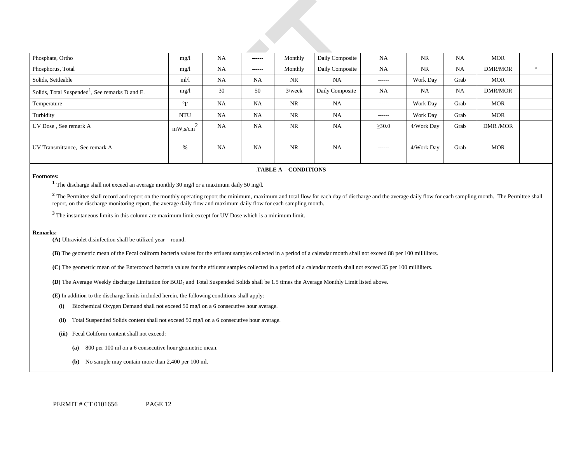| Phosphate, Ortho                                            | mg/1                                     | NA        | $- - - - - -$ | Monthly   | Daily Composite | <b>NA</b>     | <b>NR</b>       | <b>NA</b> | MOR        |        |
|-------------------------------------------------------------|------------------------------------------|-----------|---------------|-----------|-----------------|---------------|-----------------|-----------|------------|--------|
| Phosphorus, Total                                           | mg/1                                     | <b>NA</b> | $- - - - - -$ | Monthly   | Daily Composite | <b>NA</b>     | NR              | <b>NA</b> | DMR/MOR    | $\ast$ |
| Solids, Settleable                                          | m1/1                                     | <b>NA</b> | <b>NA</b>     | NR        | <b>NA</b>       | $- - - - - -$ | <b>Work Day</b> | Grab      | <b>MOR</b> |        |
| Solids, Total Suspended <sup>1</sup> , See remarks D and E. | mg/1                                     | 30        | 50            | $3$ /week | Daily Composite | <b>NA</b>     | NA              | <b>NA</b> | DMR/MOR    |        |
| Temperature                                                 | $\mathrm{P}_{\mathrm{F}}$                | <b>NA</b> | <b>NA</b>     | <b>NR</b> | <b>NA</b>       | $- - - - - -$ | Work Day        | Grab      | <b>MOR</b> |        |
| Turbidity                                                   | <b>NTU</b>                               | <b>NA</b> | <b>NA</b>     | NR        | <b>NA</b>       | $- - - - - -$ | <b>Work Day</b> | Grab      | <b>MOR</b> |        |
| UV Dose, See remark A                                       | $mW$ , s/cm <sup><math>\sim</math></sup> | <b>NA</b> | <b>NA</b>     | <b>NR</b> | <b>NA</b>       | $\geq 30.0$   | 4/Work Day      | Grab      | DMR /MOR   |        |
| UV Transmittance, See remark A                              | %                                        | <b>NA</b> | <b>NA</b>     | <b>NR</b> | <b>NA</b>       | ------        | 4/Work Day      | Grab      | <b>MOR</b> |        |

#### 6B**TABLE A – CONDITIONS**

**Footnotes: 1** The discharge shall not exceed an average monthly 30 mg/l or a maximum daily 50 mg/l.

<sup>2</sup> The Permittee shall record and report on the monthly operating report the minimum, maximum and total flow for each day of discharge and the average daily flow for each sampling month. The Permittee shall report, on the discharge monitoring report, the average daily flow and maximum daily flow for each sampling month.

**<sup>3</sup>**The instantaneous limits in this column are maximum limit except for UV Dose which is a minimum limit.

#### **Remarks:**

**(A)** Ultraviolet disinfection shall be utilized year – round.

**(B)** The geometric mean of the Fecal coliform bacteria values for the effluent samples collected in a period of a calendar month shall not exceed 88 per 100 milliliters.

**(C)** The geometric mean of the Enterococci bacteria values for the effluent samples collected in a period of a calendar month shall not exceed 35 per 100 milliliters.

**(D)** The Average Weekly discharge Limitation for BOD5 and Total Suspended Solids shall be 1.5 times the Average Monthly Limit listed above.

**(E)** In addition to the discharge limits included herein, the following conditions shall apply:

- **(i)** Biochemical Oxygen Demand shall not exceed 50 mg/l on a 6 consecutive hour average.
- **(ii)** Total Suspended Solids content shall not exceed 50 mg/l on a 6 consecutive hour average.
- **(iii)** Fecal Coliform content shall not exceed:
	- **(a)** 800 per 100 ml on a 6 consecutive hour geometric mean.
	- **(b)** No sample may contain more than 2,400 per 100 ml.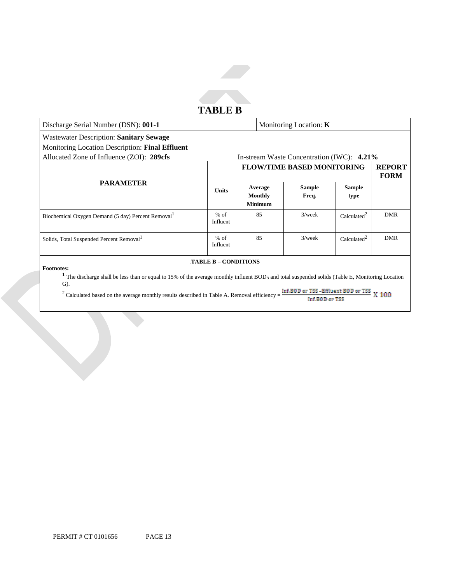

| Discharge Serial Number (DSN): 001-1                           |                    |  |                                      | Monitoring Location: K                     |                         |                              |
|----------------------------------------------------------------|--------------------|--|--------------------------------------|--------------------------------------------|-------------------------|------------------------------|
| <b>Wastewater Description: Sanitary Sewage</b>                 |                    |  |                                      |                                            |                         |                              |
| Monitoring Location Description: Final Effluent                |                    |  |                                      |                                            |                         |                              |
| Allocated Zone of Influence (ZOI): 289cfs                      |                    |  |                                      | In-stream Waste Concentration (IWC): 4.21% |                         |                              |
|                                                                |                    |  |                                      | <b>FLOW/TIME BASED MONITORING</b>          |                         | <b>REPORT</b><br><b>FORM</b> |
| <b>PARAMETER</b>                                               | <b>Units</b>       |  | Average<br>Monthly<br><b>Minimum</b> | <b>Sample</b><br>Freq.                     | <b>Sample</b><br>type   |                              |
| Biochemical Oxygen Demand (5 day) Percent Removal <sup>1</sup> | $%$ of<br>Influent |  | 85                                   | $3$ /week                                  | Calculated <sup>2</sup> | <b>DMR</b>                   |
| Solids, Total Suspended Percent Removal <sup>1</sup>           | $%$ of<br>Influent |  | 85                                   | $3$ /week                                  | Calculated <sup>2</sup> | <b>DMR</b>                   |
| <b>TABLE B – CONDITIONS</b>                                    |                    |  |                                      |                                            |                         |                              |

**Footnotes:** <sup>1</sup> The discharge shall be less than or equal to 15% of the average monthly influent BOD5 and total suspended solids (Table E, Monitoring Location G).

<sup>2</sup> Calculated based on the average monthly results described in Table A. Removal efficiency =  $\frac{\ln{4.80 \text{D}}}{\ln{4.80 \text{D}} \cdot \ln{4.80 \text{D}}} \times 100$ Inf.BOD or TSS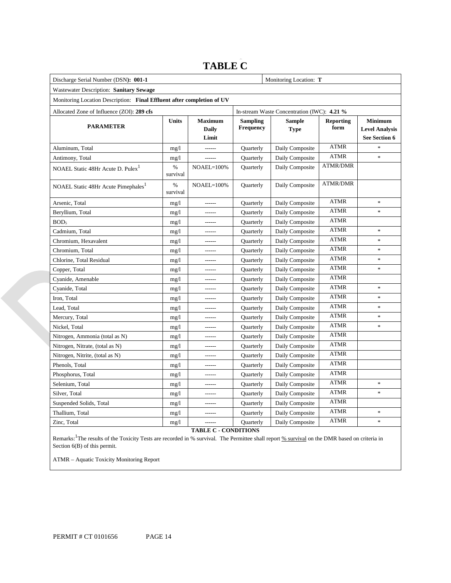## **TABLE C**

| Discharge Serial Number (DSN): 001-1                                   |               | Monitoring Location: T           |                                     |                                             |                          |                                                          |  |
|------------------------------------------------------------------------|---------------|----------------------------------|-------------------------------------|---------------------------------------------|--------------------------|----------------------------------------------------------|--|
| Wastewater Description: Sanitary Sewage                                |               |                                  |                                     |                                             |                          |                                                          |  |
| Monitoring Location Description: Final Effluent after completion of UV |               |                                  |                                     |                                             |                          |                                                          |  |
| Allocated Zone of Influence (ZOI): 289 cfs                             |               |                                  |                                     | In-stream Waste Concentration (IWC): 4.21 % |                          |                                                          |  |
| <b>PARAMETER</b>                                                       | Units         | <b>Maximum</b><br>Daily<br>Limit | <b>Sampling</b><br><b>Frequency</b> | <b>Sample</b><br><b>Type</b>                | <b>Reporting</b><br>form | <b>Minimum</b><br><b>Level Analysis</b><br>See Section 6 |  |
| Aluminum, Total                                                        | mg/1          | $-----1$                         | Quarterly                           | Daily Composite                             | <b>ATMR</b>              | ×                                                        |  |
| Antimony, Total                                                        | mg/1          | ------                           | Quarterly                           | Daily Composite                             | <b>ATMR</b>              | *                                                        |  |
| NOAEL Static 48Hr Acute D. Pulex <sup>1</sup>                          | %<br>survival | $NOAEL=100%$                     | Quarterly                           | Daily Composite                             | <b>ATMR/DMR</b>          |                                                          |  |
| NOAEL Static 48Hr Acute Pimephales <sup>1</sup>                        | %<br>survival | NOAEL=100%                       | Quarterly                           | Daily Composite                             | <b>ATMR/DMR</b>          |                                                          |  |
| Arsenic, Total                                                         | mg/1          | $- - - - - -$                    | Quarterly                           | Daily Composite                             | <b>ATMR</b>              | $\frac{d\mathbf{r}}{dt}$                                 |  |
| Beryllium, Total                                                       | mg/1          |                                  | Quarterly                           | Daily Composite                             | <b>ATMR</b>              | $\frac{d\mathbf{r}}{d\mathbf{r}}$                        |  |
| BOD <sub>5</sub>                                                       | mg/1          | $- - - - - -$                    | Quarterly                           | Daily Composite                             | <b>ATMR</b>              |                                                          |  |
| Cadmium, Total                                                         | mg/1          | ------                           | Quarterly                           | Daily Composite                             | <b>ATMR</b>              | $\frac{1}{2}$                                            |  |
| Chromium, Hexavalent                                                   | mg/l          | ------                           | Quarterly                           | Daily Composite                             | <b>ATMR</b>              | *                                                        |  |
| Chromium, Total                                                        | mg/1          |                                  | Quarterly                           | Daily Composite                             | <b>ATMR</b>              | $\frac{1}{2}$                                            |  |
| Chlorine, Total Residual                                               | mg/1          |                                  | Quarterly                           | Daily Composite                             | <b>ATMR</b>              | $\frac{d\mathbf{r}}{dt}$                                 |  |
| Copper, Total                                                          | mg/1          |                                  | Quarterly                           | Daily Composite                             | <b>ATMR</b>              | $\frac{1}{2}$                                            |  |
| Cyanide, Amenable                                                      | mg/1          |                                  | Quarterly                           | Daily Composite                             | <b>ATMR</b>              |                                                          |  |
| Cyanide, Total                                                         | mg/1          |                                  | Quarterly                           | Daily Composite                             | <b>ATMR</b>              | $\frac{d\mathbf{r}}{d\mathbf{r}}$                        |  |
| Iron, Total                                                            | mg/1          |                                  | Quarterly                           | Daily Composite                             | ATMR                     | $\frac{d\mathbf{r}}{d\mathbf{r}}$                        |  |
| Lead, Total                                                            | mg/1          |                                  | Quarterly                           | Daily Composite                             | ATMR                     | $\frac{d\mathbf{r}}{d\mathbf{r}}$                        |  |
| Mercury, Total                                                         | mg/1          |                                  | Quarterly                           | Daily Composite                             | <b>ATMR</b>              | $\frac{d\mathbf{r}}{d\mathbf{r}}$                        |  |
| Nickel, Total                                                          | mg/1          |                                  | Quarterly                           | Daily Composite                             | ATMR                     | $\frac{d\mathbf{r}}{d\mathbf{r}}$                        |  |
| Nitrogen, Ammonia (total as N)                                         | mg/1          |                                  | Quarterly                           | Daily Composite                             | <b>ATMR</b>              |                                                          |  |
| Nitrogen, Nitrate, (total as N)                                        | mg/1          |                                  | Quarterly                           | Daily Composite                             | ATMR                     |                                                          |  |
| Nitrogen, Nitrite, (total as N)                                        | mg/1          | ------                           | Quarterly                           | Daily Composite                             | ATMR                     |                                                          |  |
| Phenols, Total                                                         | mg/1          |                                  | Quarterly                           | Daily Composite                             | ATMR                     |                                                          |  |
| Phosphorus, Total                                                      | mg/1          |                                  | Quarterly                           | Daily Composite                             | ATMR                     |                                                          |  |
| Selenium, Total                                                        | mg/1          | $- - - - - -$                    | Quarterly                           | Daily Composite                             | <b>ATMR</b>              | *                                                        |  |
| Silver, Total                                                          | mg/1          |                                  | Quarterly                           | Daily Composite                             | ATMR                     | *                                                        |  |
| Suspended Solids, Total                                                | mg/1          | ------                           | Quarterly                           | Daily Composite                             | <b>ATMR</b>              |                                                          |  |
| Thallium, Total                                                        | mg/1          |                                  | Quarterly                           | Daily Composite                             | <b>ATMR</b>              | ×,                                                       |  |
| Zinc, Total                                                            | mg/1          | $- - - - - -$                    | Quarterly                           | Daily Composite                             | ATMR                     | *.                                                       |  |
|                                                                        |               | <b>TADIRA</b>                    | $C\Lambda$ IDITI $\Lambda$ IC       |                                             |                          |                                                          |  |

**TABLE C - CONDITIONS** 

Remarks: <sup>1</sup>The results of the Toxicity Tests are recorded in % survival. The Permittee shall report % survival on the DMR based on criteria in Section 6(B) of this permit.

ATMR – Aquatic Toxicity Monitoring Report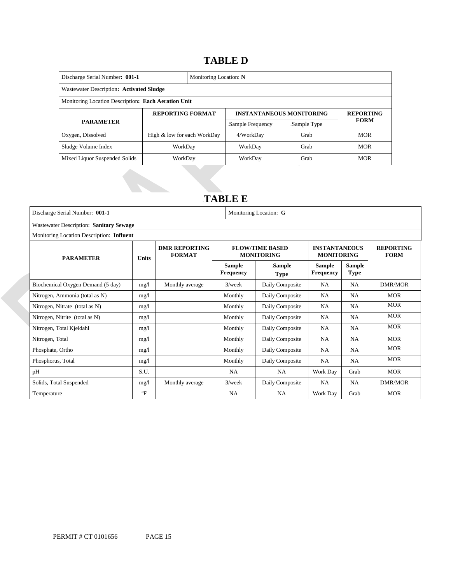## **TABLE D**

| Discharge Serial Number: 001-1                      |                             | Monitoring Location: N |                  |                                 |                  |
|-----------------------------------------------------|-----------------------------|------------------------|------------------|---------------------------------|------------------|
| Wastewater Description: Activated Sludge            |                             |                        |                  |                                 |                  |
| Monitoring Location Description: Each Aeration Unit |                             |                        |                  |                                 |                  |
| <b>REPORTING FORMAT</b>                             |                             |                        |                  | <b>INSTANTANEOUS MONITORING</b> | <b>REPORTING</b> |
| <b>PARAMETER</b>                                    |                             |                        | Sample Frequency | Sample Type                     | <b>FORM</b>      |
| Oxygen, Dissolved                                   | High & low for each WorkDay |                        | 4/WorkDay        | Grab                            | <b>MOR</b>       |
| Sludge Volume Index                                 | WorkDay                     |                        | WorkDay          | Grab                            | <b>MOR</b>       |
| Mixed Liquor Suspended Solids                       | WorkDay                     |                        | WorkDay          | Grab                            | <b>MOR</b>       |

## 17B**TABLE E**

| Discharge Serial Number: 001-1            |                                         |                                       |                                             | Monitoring Location: G                    |                            |                                 |                |  |  |
|-------------------------------------------|-----------------------------------------|---------------------------------------|---------------------------------------------|-------------------------------------------|----------------------------|---------------------------------|----------------|--|--|
|                                           | Wastewater Description: Sanitary Sewage |                                       |                                             |                                           |                            |                                 |                |  |  |
| Monitoring Location Description: Influent |                                         |                                       |                                             |                                           |                            |                                 |                |  |  |
| <b>PARAMETER</b>                          | <b>Units</b>                            | <b>DMR REPORTING</b><br><b>FORMAT</b> | <b>FLOW/TIME BASED</b><br><b>MONITORING</b> | <b>INSTANTANEOUS</b><br><b>MONITORING</b> |                            | <b>REPORTING</b><br><b>FORM</b> |                |  |  |
|                                           |                                         |                                       | <b>Sample</b><br><b>Frequency</b>           | Sample<br><b>Type</b>                     | Sample<br><b>Frequency</b> | <b>Sample</b><br><b>Type</b>    |                |  |  |
| Biochemical Oxygen Demand (5 day)         | mg/1                                    | Monthly average                       | $3$ /week                                   | Daily Composite                           | NA                         | <b>NA</b>                       | <b>DMR/MOR</b> |  |  |
| Nitrogen, Ammonia (total as N)            | mg/1                                    |                                       | Monthly                                     | Daily Composite                           | <b>NA</b>                  | <b>NA</b>                       | <b>MOR</b>     |  |  |
| Nitrogen, Nitrate (total as N)            | mg/l                                    |                                       | Monthly                                     | Daily Composite                           | NA                         | <b>NA</b>                       | <b>MOR</b>     |  |  |
| Nitrogen, Nitrite (total as N)            | mg/l                                    |                                       | Monthly                                     | Daily Composite                           | <b>NA</b>                  | <b>NA</b>                       | <b>MOR</b>     |  |  |
| Nitrogen, Total Kjeldahl                  | mg/l                                    |                                       | Monthly                                     | Daily Composite                           | NA                         | <b>NA</b>                       | <b>MOR</b>     |  |  |
| Nitrogen, Total                           | mg/l                                    |                                       | Monthly                                     | Daily Composite                           | NA                         | NA                              | <b>MOR</b>     |  |  |
| Phosphate, Ortho                          | mg/1                                    |                                       | Monthly                                     | Daily Composite                           | NA                         | <b>NA</b>                       | <b>MOR</b>     |  |  |
| Phosphorus, Total                         | mg/1                                    |                                       | Monthly                                     | Daily Composite                           | <b>NA</b>                  | <b>NA</b>                       | <b>MOR</b>     |  |  |
| pH                                        | S.U.                                    |                                       | <b>NA</b>                                   | <b>NA</b>                                 | Work Day                   | Grab                            | <b>MOR</b>     |  |  |
| Solids, Total Suspended                   | mg/1                                    | Monthly average                       | $3$ /week                                   | Daily Composite                           | NA                         | <b>NA</b>                       | <b>DMR/MOR</b> |  |  |
| Temperature                               | $\mathrm{P}$                            |                                       | <b>NA</b>                                   | <b>NA</b>                                 | Work Day                   | Grab                            | <b>MOR</b>     |  |  |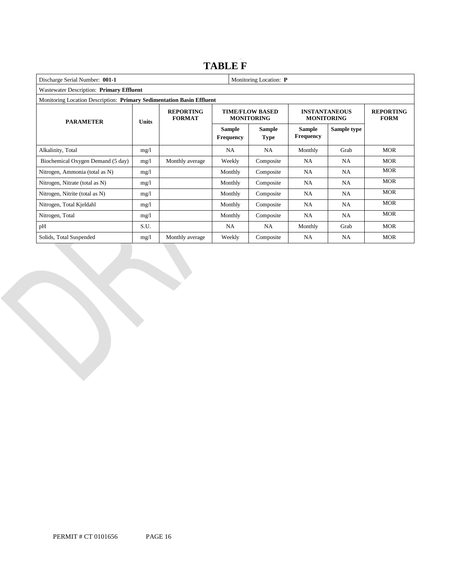## **TABLE F**

| Discharge Serial Number: 001-1<br>Monitoring Location: P              |                                          |                                   |                                             |                              |                                           |                                 |            |  |
|-----------------------------------------------------------------------|------------------------------------------|-----------------------------------|---------------------------------------------|------------------------------|-------------------------------------------|---------------------------------|------------|--|
|                                                                       | Wastewater Description: Primary Effluent |                                   |                                             |                              |                                           |                                 |            |  |
| Monitoring Location Description: Primary Sedimentation Basin Effluent |                                          |                                   |                                             |                              |                                           |                                 |            |  |
| <b>PARAMETER</b>                                                      | <b>Units</b>                             | <b>REPORTING</b><br><b>FORMAT</b> | <b>TIME/FLOW BASED</b><br><b>MONITORING</b> |                              | <b>INSTANTANEOUS</b><br><b>MONITORING</b> | <b>REPORTING</b><br><b>FORM</b> |            |  |
|                                                                       |                                          |                                   | <b>Sample</b><br><b>Frequency</b>           | <b>Sample</b><br><b>Type</b> | <b>Sample</b><br>Frequency                | Sample type                     |            |  |
| Alkalinity, Total                                                     | mg/1                                     |                                   | <b>NA</b>                                   | <b>NA</b>                    | Monthly                                   | Grab                            | <b>MOR</b> |  |
| Biochemical Oxygen Demand (5 day)                                     | mg/1                                     | Monthly average                   | Weekly                                      | Composite                    | <b>NA</b>                                 | <b>NA</b>                       | <b>MOR</b> |  |
| Nitrogen, Ammonia (total as N)                                        | mg/1                                     |                                   | Monthly                                     | Composite                    | <b>NA</b>                                 | <b>NA</b>                       | <b>MOR</b> |  |
| Nitrogen, Nitrate (total as N)                                        | mg/1                                     |                                   | Monthly                                     | Composite                    | <b>NA</b>                                 | NA.                             | <b>MOR</b> |  |
| Nitrogen, Nitrite (total as N)                                        | mg/1                                     |                                   | Monthly                                     | Composite                    | <b>NA</b>                                 | NA                              | <b>MOR</b> |  |
| Nitrogen, Total Kjeldahl                                              | mg/1                                     |                                   | Monthly                                     | Composite                    | <b>NA</b>                                 | NA                              | <b>MOR</b> |  |
| Nitrogen, Total                                                       | mg/1                                     |                                   | Monthly                                     | Composite                    | <b>NA</b>                                 | NA.                             | <b>MOR</b> |  |
| pH                                                                    | S.U.                                     |                                   | NA                                          | <b>NA</b>                    | Monthly                                   | Grab                            | <b>MOR</b> |  |
| Solids, Total Suspended                                               | mg/l                                     | Monthly average                   | Weekly                                      | Composite                    | NA                                        | NA                              | <b>MOR</b> |  |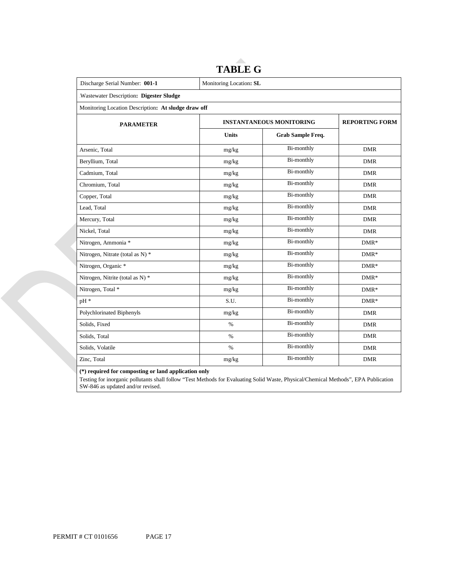| Discharge Serial Number: 001-1                      | Monitoring Location: SL         |                       |            |  |  |  |
|-----------------------------------------------------|---------------------------------|-----------------------|------------|--|--|--|
| Wastewater Description: Digester Sludge             |                                 |                       |            |  |  |  |
| Monitoring Location Description: At sludge draw off |                                 |                       |            |  |  |  |
| <b>PARAMETER</b>                                    | <b>INSTANTANEOUS MONITORING</b> | <b>REPORTING FORM</b> |            |  |  |  |
|                                                     | <b>Units</b>                    | Grab Sample Freq.     |            |  |  |  |
| Arsenic, Total                                      | mg/kg                           | Bi-monthly            | <b>DMR</b> |  |  |  |
| Beryllium, Total                                    | mg/kg                           | <b>Bi-monthly</b>     | <b>DMR</b> |  |  |  |
| Cadmium, Total                                      | mg/kg                           | Bi-monthly            | <b>DMR</b> |  |  |  |
| Chromium. Total                                     | mg/kg                           | <b>Bi-monthly</b>     | <b>DMR</b> |  |  |  |
| Copper, Total                                       | mg/kg                           | Bi-monthly            | <b>DMR</b> |  |  |  |
| Lead. Total                                         | mg/kg                           | <b>Bi-monthly</b>     | <b>DMR</b> |  |  |  |
| Mercury, Total                                      | mg/kg                           | Bi-monthly            | <b>DMR</b> |  |  |  |
| Nickel, Total                                       | mg/kg                           | <b>Bi-monthly</b>     | <b>DMR</b> |  |  |  |
| Nitrogen, Ammonia *                                 | mg/kg                           | Bi-monthly            | $DMR*$     |  |  |  |
| Nitrogen, Nitrate (total as N) *                    | mg/kg                           | <b>Bi-monthly</b>     | $DMR*$     |  |  |  |
| Nitrogen, Organic *                                 | mg/kg                           | Bi-monthly            | $DMR*$     |  |  |  |
| Nitrogen, Nitrite (total as N) *                    | mg/kg                           | <b>Bi-monthly</b>     | $DMR*$     |  |  |  |
| Nitrogen, Total *                                   | mg/kg                           | Bi-monthly            | $DMR*$     |  |  |  |
| pH <sup>*</sup>                                     | S.U.                            | <b>Bi-monthly</b>     | $DMR*$     |  |  |  |
| Polychlorinated Biphenyls                           | mg/kg                           | Bi-monthly            | <b>DMR</b> |  |  |  |
| Solids, Fixed                                       | $\%$                            | <b>Bi-monthly</b>     | <b>DMR</b> |  |  |  |
| Solids, Total                                       | $\%$                            | Bi-monthly            | <b>DMR</b> |  |  |  |
| Solids, Volatile                                    | $\%$                            | <b>Bi-monthly</b>     | <b>DMR</b> |  |  |  |
| Zinc, Total                                         | mg/kg                           | Bi-monthly            | <b>DMR</b> |  |  |  |

# **TABLE G**

 **(\*) required for composting or land application only** 

Testing for inorganic pollutants shall follow "Test Methods for Evaluating Solid Waste, Physical/Chemical Methods", EPA Publication SW-846 as updated and/or revised.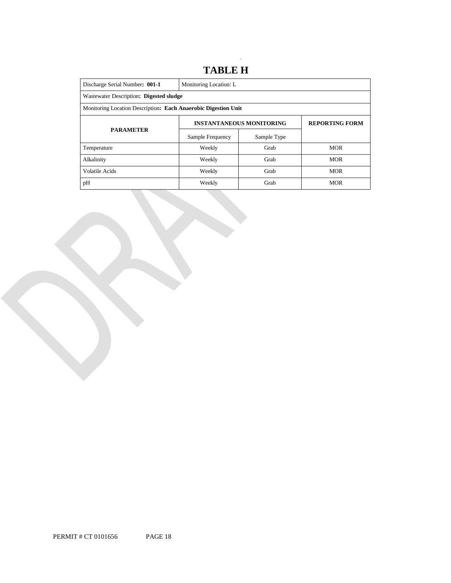## 18B **TABLE H**

| Discharge Serial Number: 001-1                                 | Monitoring Location: L |                                 |                       |  |  |  |
|----------------------------------------------------------------|------------------------|---------------------------------|-----------------------|--|--|--|
| Wastewater Description: Digested sludge                        |                        |                                 |                       |  |  |  |
| Monitoring Location Description: Each Anaerobic Digestion Unit |                        |                                 |                       |  |  |  |
|                                                                |                        | <b>INSTANTANEOUS MONITORING</b> | <b>REPORTING FORM</b> |  |  |  |
| <b>PARAMETER</b>                                               | Sample Frequency       | Sample Type                     |                       |  |  |  |
| Temperature                                                    | Weekly                 | Grab                            | <b>MOR</b>            |  |  |  |
| Alkalinity                                                     | Weekly                 | Grab                            | <b>MOR</b>            |  |  |  |
| Volatile Acids                                                 | Weekly                 | Grab                            |                       |  |  |  |
| pH                                                             | Weekly                 | Grab                            | <b>MOR</b>            |  |  |  |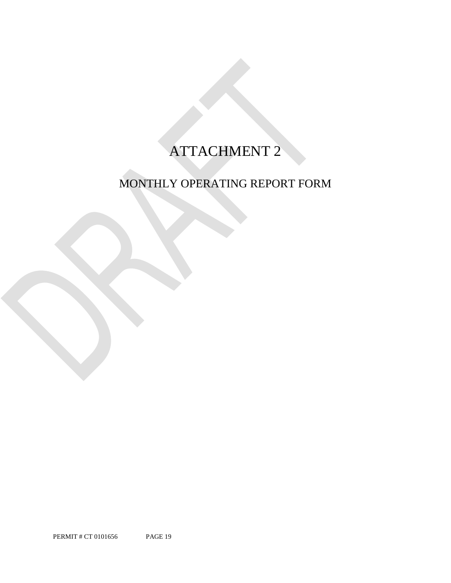# ATTACHMENT 2

# MONTHLY OPERATING REPORT FORM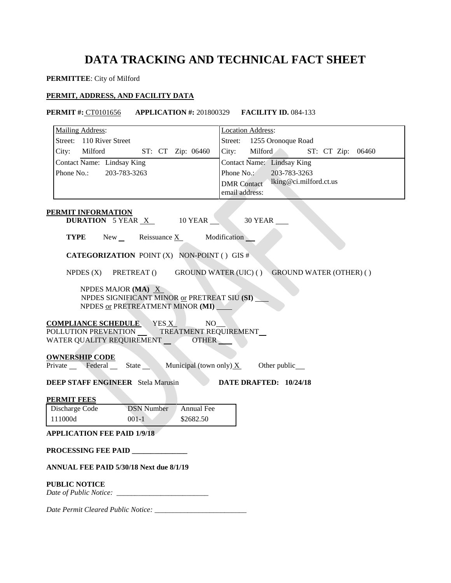# **DATA TRACKING AND TECHNICAL FACT SHEET**

**PERMITTEE**: City of Milford

## **PERMIT, ADDRESS, AND FACILITY DATA**

### **PERMIT #:** CT0101656 **APPLICATION #:** 201800329 **FACILITY ID.** 084-133

| Mailing Address:                                                                                                                                                                                   | <b>Location Address:</b>                     |
|----------------------------------------------------------------------------------------------------------------------------------------------------------------------------------------------------|----------------------------------------------|
| Street: 110 River Street                                                                                                                                                                           | Street: 1255 Oronoque Road                   |
| City: Milford<br>ST: CT Zip: 06460                                                                                                                                                                 | City: Milford<br>ST: CT Zip: 06460           |
| Contact Name: Lindsay King                                                                                                                                                                         | <b>Contact Name:</b> Lindsay King            |
| Phone No.: 203-783-3263                                                                                                                                                                            | Phone No.:<br>203-783-3263                   |
|                                                                                                                                                                                                    | lking@ci.milford.ct.us<br><b>DMR</b> Contact |
|                                                                                                                                                                                                    | email address:                               |
|                                                                                                                                                                                                    |                                              |
| PERMIT INFORMATION<br><b>DURATION</b> 5 YEAR $X$ 10 YEAR 30 YEAR                                                                                                                                   |                                              |
| <b>TYPE</b> New Reissuance $X$ Modification                                                                                                                                                        |                                              |
| <b>CATEGORIZATION</b> POINT (X) NON-POINT () GIS #                                                                                                                                                 |                                              |
| NPDES (X) PRETREAT () GROUND WATER (UIC) () GROUND WATER (OTHER) ()                                                                                                                                |                                              |
| NPDES MAJOR (MA) X<br>NPDES SIGNIFICANT MINOR or PRETREAT SIU (SI)<br>NPDES or PRETREATMENT MINOR (MI)                                                                                             |                                              |
| $\underbrace{\textbf{COMPLIANCE SCHEDULE}}{\textbf{POLLUTION PREVENTION}} \underbrace{\text{YES X}}_{\text{TREATMENT REQUIREMENT}} \text{NO\_}$<br>WATER QUALITY REQUIREMENT __________OTHER _____ |                                              |
| <b>OWNERSHIP CODE</b><br>Private Federal State Municipal (town only) $X$ Other public                                                                                                              |                                              |
|                                                                                                                                                                                                    |                                              |
| <b>DEEP STAFF ENGINEER</b> Stela Marusin                                                                                                                                                           | DATE DRAFTED: 10/24/18                       |
| <b>PERMIT FEES</b>                                                                                                                                                                                 |                                              |
| Discharge Code<br><b>DSN</b> Number<br>Annual Fee                                                                                                                                                  |                                              |
| 111000d<br>$001-1$<br>\$2682.50                                                                                                                                                                    |                                              |
| <b>APPLICATION FEE PAID 1/9/18</b>                                                                                                                                                                 |                                              |
|                                                                                                                                                                                                    |                                              |
| PROCESSING FEE PAID                                                                                                                                                                                |                                              |
| ANNUAL FEE PAID 5/30/18 Next due 8/1/19                                                                                                                                                            |                                              |
| <b>PUBLIC NOTICE</b>                                                                                                                                                                               |                                              |
|                                                                                                                                                                                                    |                                              |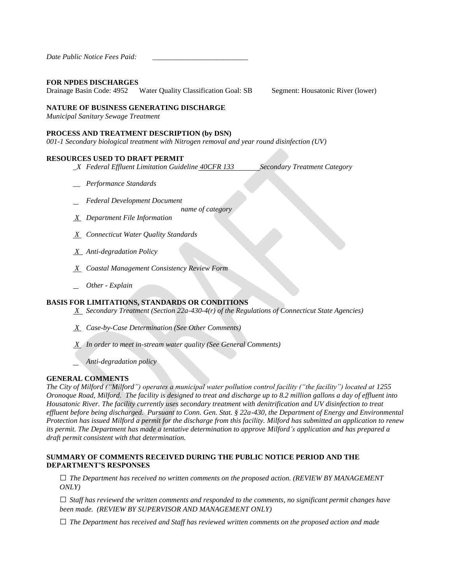### **FOR NPDES DISCHARGES**

Drainage Basin Code: 4952 Water Quality Classification Goal: SB Segment: Housatonic River (lower)

## **NATURE OF BUSINESS GENERATING DISCHARGE**

*Municipal Sanitary Sewage Treatment* 

### **PROCESS AND TREATMENT DESCRIPTION (by DSN)**

 *001-1 Secondary biological treatment with Nitrogen removal and year round disinfection (UV)*

#### **RESOURCES USED TO DRAFT PERMIT**

- *\_X Federal Effluent Limitation Guideline 40CFR 133 Secondary Treatment Category*
- *\_\_ Performance Standards*
- *Federal Development Document*

 *name of category* 

- *X Department File Information*
- *X Connecticut Water Quality Standards*
- *X Anti-degradation Policy*
- *X Coastal Management Consistency Review Form*
- *Other - Explain*

## **BASIS FOR LIMITATIONS, STANDARDS OR CONDITIONS**

- *X Secondary Treatment (Section 22a-430-4(r) of the Regulations of Connecticut State Agencies)*
- *X Case-by-Case Determination (See Other Comments)*
- *X In order to meet in-stream water quality (See General Comments)* 
	- *Anti-degradation policy*

## **GENERAL COMMENTS**

*The City of Milford ("Milford") operates a municipal water pollution control facility ("the facility") located at 1255 Oronoque Road, Milford. The facility is designed to treat and discharge up to 8.2 million gallons a day of effluent into Housatonic River. The facility currently uses secondary treatment with denitrification and UV disinfection to treat effluent before being discharged. Pursuant to Conn. Gen. Stat. § 22a-430, the Department of Energy and Environmental Protection has issued Milford a permit for the discharge from this facility. Milford has submitted an application to renew its permit. The Department has made a tentative determination to approve Milford's application and has prepared a draft permit consistent with that determination.* 

## **SUMMARY OF COMMENTS RECEIVED DURING THE PUBLIC NOTICE PERIOD AND THE DEPARTMENT'S RESPONSES**

 **□** *The Department has received no written comments on the proposed action. (REVIEW BY MANAGEMENT ONLY)*

 **□** *Staff has reviewed the written comments and responded to the comments, no significant permit changes have been made. (REVIEW BY SUPERVISOR AND MANAGEMENT ONLY)*

 **□** *The Department has received and Staff has reviewed written comments on the proposed action and made*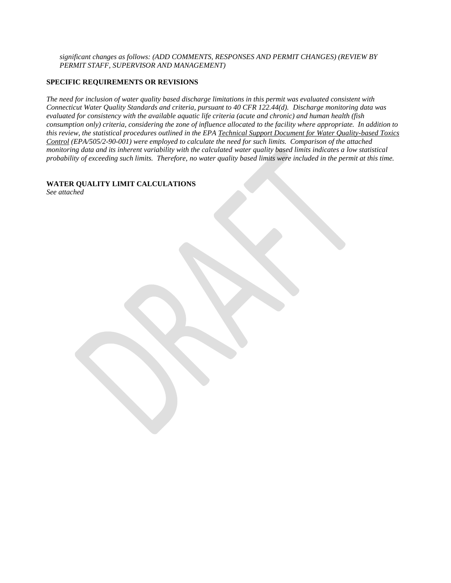*significant changes as follows: (ADD COMMENTS, RESPONSES AND PERMIT CHANGES) (REVIEW BY PERMIT STAFF, SUPERVISOR AND MANAGEMENT)* 

## **SPECIFIC REQUIREMENTS OR REVISIONS**

 *The need for inclusion of water quality based discharge limitations in this permit was evaluated consistent with Connecticut Water Quality Standards and criteria, pursuant to 40 CFR 122.44(d). Discharge monitoring data was evaluated for consistency with the available aquatic life criteria (acute and chronic) and human health (fish consumption only) criteria, considering the zone of influence allocated to the facility where appropriate. In addition to this review, the statistical procedures outlined in the EPA Technical Support Document for Water Quality-based Toxics Control (EPA/505/2-90-001) were employed to calculate the need for such limits. Comparison of the attached*  monitoring data and its inherent variability with the calculated water quality based limits indicates a low statistical  *probability of exceeding such limits. Therefore, no water quality based limits were included in the permit at this time.* 

## **WATER QUALITY LIMIT CALCULATIONS**

 *See attached*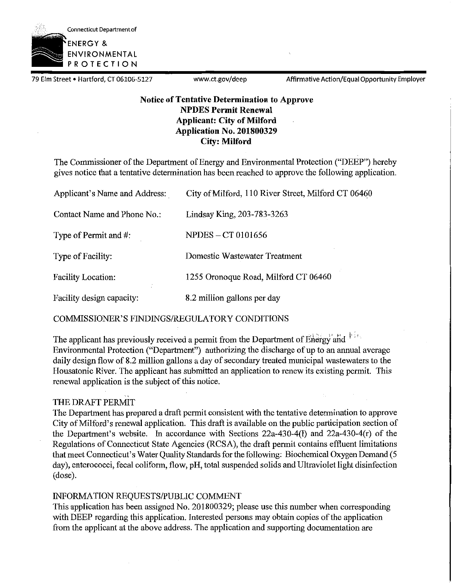

79 Elm Street • Hartford, CT 06106-5127 <www.ct.gov/deep> Affirmative Action/Equal Opportunity Employer

## **Notice of Tentative Determination to Approve NPDES Permit Renewal Applicant: City of Milford Application No. 201800329 City: Milford**

The Commissioner of the Department of Energy and Environmental Protection ("DEEP") hereby gives notice that a tentative determination has been reached to approve the following application.

| Applicant's Name and Address: | City of Milford, 110 River Street, Milford CT 06460 |
|-------------------------------|-----------------------------------------------------|
| Contact Name and Phone No.:   | Lindsay King, 203-783-3263                          |
| Type of Permit and $#$ :      | NPDES – CT 0101656                                  |
| Type of Facility:             | Domestic Wastewater Treatment                       |
| <b>Facility Location:</b>     | 1255 Oronoque Road, Milford CT 06460                |
| Facility design capacity:     | 8.2 million gallons per day                         |

COMMISSIONER'S FINDINGS/REGULATORY CONDITIONS

The applicant has previously received a permit from the Department of Energy and <sup>111</sup> Environmental Protection ("Department") authorizing the discharge of up to an annual average daily design flow of 8.2 million gallons a day of secondary treated municipal wastewaters to the Housatonic River. The applicant has submitted an application to renew its existing permit. This renewal application is the subject of this notice.

## ., THE DRAFT PERMIT

The Department has prepared a draft permit consistent with the tentative determination to approve City of Milford's renewal application. This draft is available on the public participation section of the Department's website. In accordance with Sections 22a-430-4(1) and 22a-430-4(r) of the Regulations of Connecticut State Agencies (RCSA), the draft permit contains effluent limitations that meet Connecticut's Water Quality Standards for the following: Biochemical Oxygen Demand (5 day), enterococci, fecal coliform, flow, pH, total suspended solids and Ultraviolet light disinfection (dose).

## INFORMATION REQUESTS/PUBLIC COMMENT

This application has been assigned No. 201800329; please use this number when corresponding with DEEP regarding this application. Interested persons may obtain copies of the application from the applicant at the above address. The application and supporting documentation are